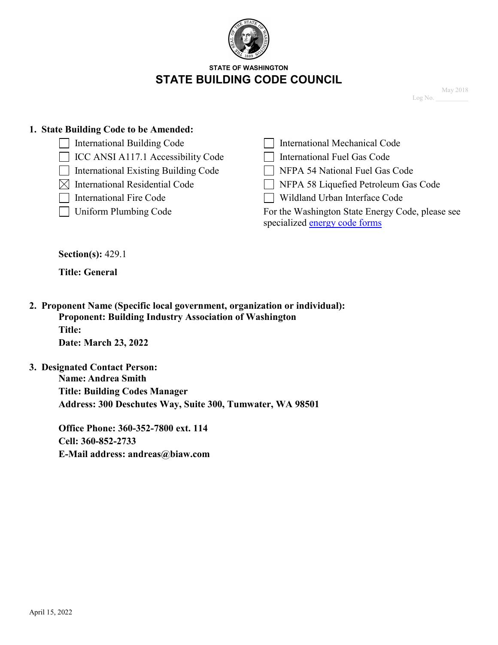

#### **STATE OF WASHINGTON STATE BUILDING CODE COUNCIL**

May 2018 Log No.

#### **1. State Building Code to be Amended:**

- International Building Code
- $\Box$  ICC ANSI A117.1 Accessibility Code
- $\Box$  International Existing Building Code  $\Box$  NFPA 54 National Fuel Gas Code
- 
- 
- 

| International Mechanical Code |
|-------------------------------|
| International Fuel Gas Code   |

- 
- $\boxtimes$  International Residential Code  $\Box$  NFPA 58 Liquefied Petroleum Gas Code
- International Fire Code Wildland Urban Interface Code

□ Uniform Plumbing Code For the Washington State Energy Code, please see specialized [energy code forms](https://www.sbcc.wa.gov/sites/default/files/2021-04/Code%20Change%20Form_Energy042821.docx)

**Section(s):** 429.1

**Title: General** 

**2. Proponent Name (Specific local government, organization or individual): Proponent: Building Industry Association of Washington Title: Date: March 23, 2022** 

**3. Designated Contact Person: Name: Andrea Smith Title: Building Codes Manager Address: 300 Deschutes Way, Suite 300, Tumwater, WA 98501**

> **Office Phone: 360-352-7800 ext. 114 Cell: 360-852-2733 E-Mail address: andreas@biaw.com**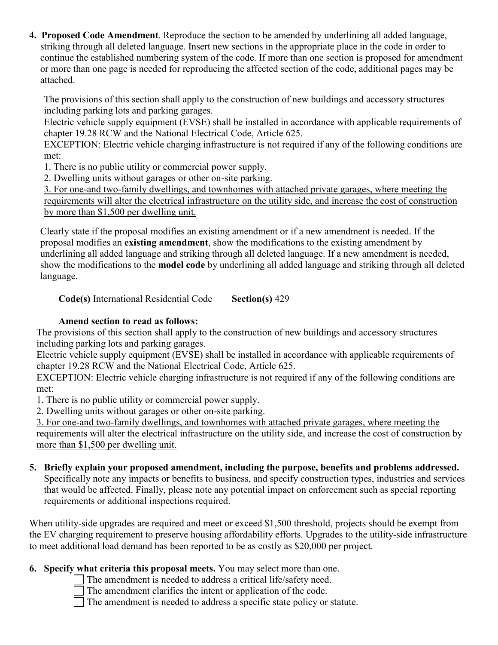**4. Proposed Code Amendment**. Reproduce the section to be amended by underlining all added language, striking through all deleted language. Insert new sections in the appropriate place in the code in order to continue the established numbering system of the code. If more than one section is proposed for amendment or more than one page is needed for reproducing the affected section of the code, additional pages may be attached.

The provisions of this section shall apply to the construction of new buildings and accessory structures including parking lots and parking garages.

Electric vehicle supply equipment (EVSE) shall be installed in accordance with applicable requirements of chapter 19.28 RCW and the National Electrical Code, Article 625.

EXCEPTION: Electric vehicle charging infrastructure is not required if any of the following conditions are met:

1. There is no public utility or commercial power supply.

2. Dwelling units without garages or other on-site parking.

3. For one-and two-family dwellings, and townhomes with attached private garages, where meeting the requirements will alter the electrical infrastructure on the utility side, and increase the cost of construction by more than \$1,500 per dwelling unit.

Clearly state if the proposal modifies an existing amendment or if a new amendment is needed. If the proposal modifies an **existing amendment**, show the modifications to the existing amendment by underlining all added language and striking through all deleted language. If a new amendment is needed, show the modifications to the **model code** by underlining all added language and striking through all deleted language.

**Code(s)** International Residential Code **Section(s)** 429

# **Amend section to read as follows:**

The provisions of this section shall apply to the construction of new buildings and accessory structures including parking lots and parking garages.

Electric vehicle supply equipment (EVSE) shall be installed in accordance with applicable requirements of chapter 19.28 RCW and the National Electrical Code, Article 625.

EXCEPTION: Electric vehicle charging infrastructure is not required if any of the following conditions are met:

1. There is no public utility or commercial power supply.

2. Dwelling units without garages or other on-site parking.

3. For one-and two-family dwellings, and townhomes with attached private garages, where meeting the requirements will alter the electrical infrastructure on the utility side, and increase the cost of construction by more than \$1,500 per dwelling unit.

**5. Briefly explain your proposed amendment, including the purpose, benefits and problems addressed.**

Specifically note any impacts or benefits to business, and specify construction types, industries and services that would be affected. Finally, please note any potential impact on enforcement such as special reporting requirements or additional inspections required.

When utility-side upgrades are required and meet or exceed \$1,500 threshold, projects should be exempt from the EV charging requirement to preserve housing affordability efforts. Upgrades to the utility-side infrastructure to meet additional load demand has been reported to be as costly as \$20,000 per project.

# **6. Specify what criteria this proposal meets.** You may select more than one.

The amendment is needed to address a critical life/safety need.

The amendment clarifies the intent or application of the code.

 $\Box$  The amendment is needed to address a specific state policy or statute.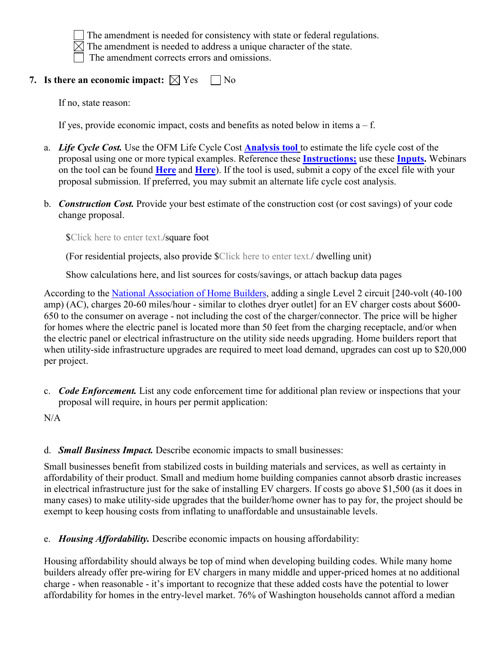

The amendment is needed for consistency with state or federal regulations.

 $\boxtimes$  The amendment is needed to address a unique character of the state.

The amendment corrects errors and omissions.

# **7. Is there an economic impact:**  $\boxtimes$  Yes  $\Box$  No

If no, state reason:

If yes, provide economic impact, costs and benefits as noted below in items  $a - f$ .

- a. *Life Cycle Cost.* Use the OFM Life Cycle Cost **[Analysis tool](https://www.ofm.wa.gov/sites/default/files/public/legacy/budget/capitalforms/lifecyclecosttool.xlsb)** to estimate the life cycle cost of the proposal using one or more typical examples. Reference these **[Instructions;](https://www.sbcc.wa.gov/sites/default/files/2021-04/Code%20Change%20Form_Energy042821.docx)** use these **[Inputs.](https://sbcc.wa.gov/sites/default/files/2021-04/Methodology%20_Cost%20_Benefits%20_NRGCodeChanges_1_22_19.pdf)** Webinars on the tool can be found **[Here](https://vimeo.com/album/3598715)** and **[Here](https://vimeo.com/album/3462314)**). If the tool is used, submit a copy of the excel file with your proposal submission. If preferred, you may submit an alternate life cycle cost analysis.
- b. *Construction Cost.* Provide your best estimate of the construction cost (or cost savings) of your code change proposal.

\$Click here to enter text./square foot

(For residential projects, also provide \$Click here to enter text./ dwelling unit)

Show calculations here, and list sources for costs/savings, or attach backup data pages

According to the [National Association of Home Builders,](https://nahbnow.com/2021/04/pre-wiring-for-electric-vehicle-charging-prepping-your-homes-for-future-demand/) adding a single Level 2 circuit [240-volt (40-100 amp) (AC), charges 20-60 miles/hour - similar to clothes dryer outlet] for an EV charger costs about \$600- 650 to the consumer on average - not including the cost of the charger/connector. The price will be higher for homes where the electric panel is located more than 50 feet from the charging receptacle, and/or when the electric panel or electrical infrastructure on the utility side needs upgrading. Home builders report that when utility-side infrastructure upgrades are required to meet load demand, upgrades can cost up to \$20,000 per project.

c. *Code Enforcement.* List any code enforcement time for additional plan review or inspections that your proposal will require, in hours per permit application:

 $N/A$ 

# d. *Small Business Impact.* Describe economic impacts to small businesses:

Small businesses benefit from stabilized costs in building materials and services, as well as certainty in affordability of their product. Small and medium home building companies cannot absorb drastic increases in electrical infrastructure just for the sake of installing EV chargers. If costs go above \$1,500 (as it does in many cases) to make utility-side upgrades that the builder/home owner has to pay for, the project should be exempt to keep housing costs from inflating to unaffordable and unsustainable levels.

e. *Housing Affordability.* Describe economic impacts on housing affordability:

Housing affordability should always be top of mind when developing building codes. While many home builders already offer pre-wiring for EV chargers in many middle and upper-priced homes at no additional charge - when reasonable - it's important to recognize that these added costs have the potential to lower affordability for homes in the entry-level market. 76% of Washington households cannot afford a median